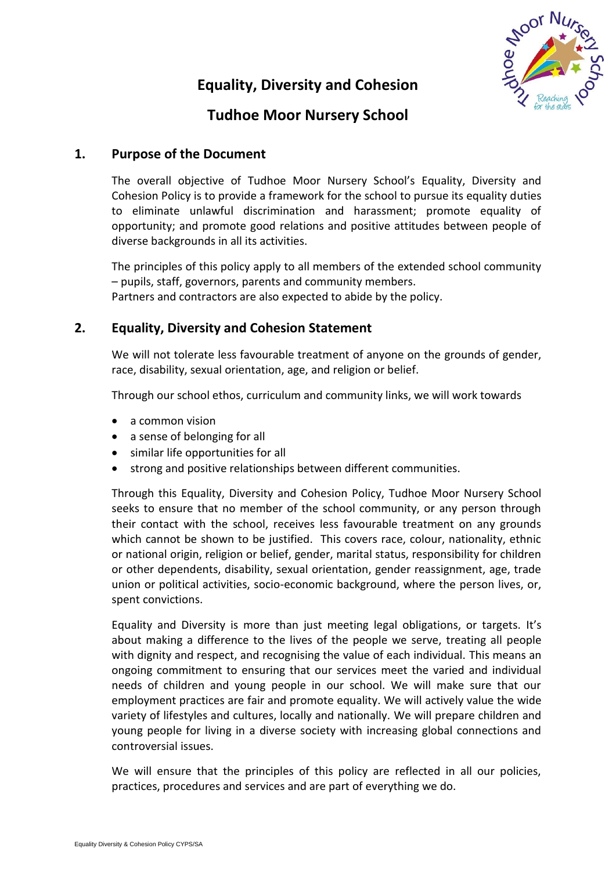# **Equality, Diversity and Cohesion**



# **Tudhoe Moor Nursery School**

## **1. Purpose of the Document**

The overall objective of Tudhoe Moor Nursery School's Equality, Diversity and Cohesion Policy is to provide a framework for the school to pursue its equality duties to eliminate unlawful discrimination and harassment; promote equality of opportunity; and promote good relations and positive attitudes between people of diverse backgrounds in all its activities.

The principles of this policy apply to all members of the extended school community – pupils, staff, governors, parents and community members. Partners and contractors are also expected to abide by the policy.

## **2. Equality, Diversity and Cohesion Statement**

We will not tolerate less favourable treatment of anyone on the grounds of gender, race, disability, sexual orientation, age, and religion or belief.

Through our school ethos, curriculum and community links, we will work towards

- $\bullet$  a common vision
- a sense of belonging for all
- similar life opportunities for all
- strong and positive relationships between different communities.

Through this Equality, Diversity and Cohesion Policy, Tudhoe Moor Nursery School seeks to ensure that no member of the school community, or any person through their contact with the school, receives less favourable treatment on any grounds which cannot be shown to be justified. This covers race, colour, nationality, ethnic or national origin, religion or belief, gender, marital status, responsibility for children or other dependents, disability, sexual orientation, gender reassignment, age, trade union or political activities, socio-economic background, where the person lives, or, spent convictions.

Equality and Diversity is more than just meeting legal obligations, or targets. It's about making a difference to the lives of the people we serve, treating all people with dignity and respect, and recognising the value of each individual. This means an ongoing commitment to ensuring that our services meet the varied and individual needs of children and young people in our school. We will make sure that our employment practices are fair and promote equality. We will actively value the wide variety of lifestyles and cultures, locally and nationally. We will prepare children and young people for living in a diverse society with increasing global connections and controversial issues.

We will ensure that the principles of this policy are reflected in all our policies, practices, procedures and services and are part of everything we do.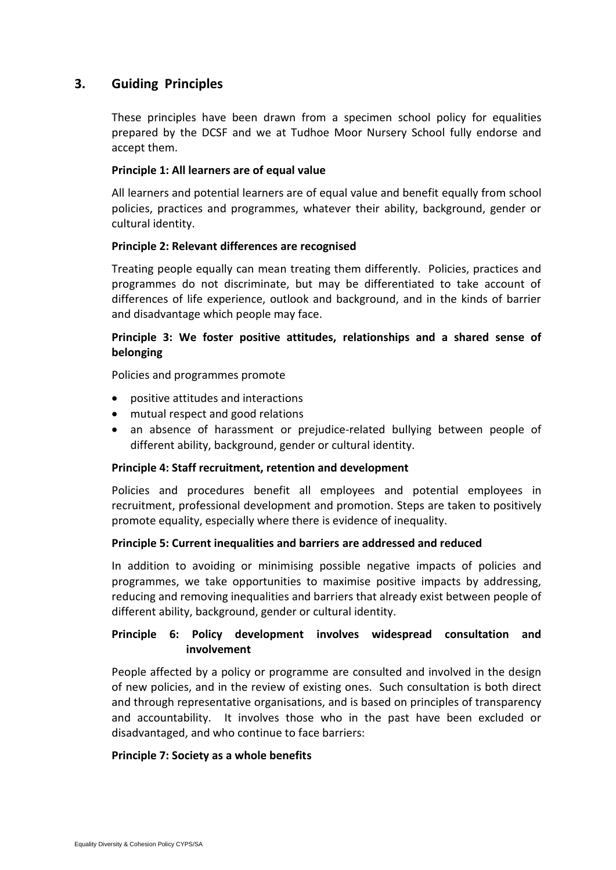## **3. Guiding Principles**

These principles have been drawn from a specimen school policy for equalities prepared by the DCSF and we at Tudhoe Moor Nursery School fully endorse and accept them.

### **Principle 1: All learners are of equal value**

All learners and potential learners are of equal value and benefit equally from school policies, practices and programmes, whatever their ability, background, gender or cultural identity.

### **Principle 2: Relevant differences are recognised**

Treating people equally can mean treating them differently. Policies, practices and programmes do not discriminate, but may be differentiated to take account of differences of life experience, outlook and background, and in the kinds of barrier and disadvantage which people may face.

## **Principle 3: We foster positive attitudes, relationships and a shared sense of belonging**

Policies and programmes promote

- positive attitudes and interactions
- mutual respect and good relations
- an absence of harassment or prejudice-related bullying between people of different ability, background, gender or cultural identity.

### **Principle 4: Staff recruitment, retention and development**

Policies and procedures benefit all employees and potential employees in recruitment, professional development and promotion. Steps are taken to positively promote equality, especially where there is evidence of inequality.

### **Principle 5: Current inequalities and barriers are addressed and reduced**

In addition to avoiding or minimising possible negative impacts of policies and programmes, we take opportunities to maximise positive impacts by addressing, reducing and removing inequalities and barriers that already exist between people of different ability, background, gender or cultural identity.

## **Principle 6: Policy development involves widespread consultation and involvement**

People affected by a policy or programme are consulted and involved in the design of new policies, and in the review of existing ones. Such consultation is both direct and through representative organisations, and is based on principles of transparency and accountability. It involves those who in the past have been excluded or disadvantaged, and who continue to face barriers:

### **Principle 7: Society as a whole benefits**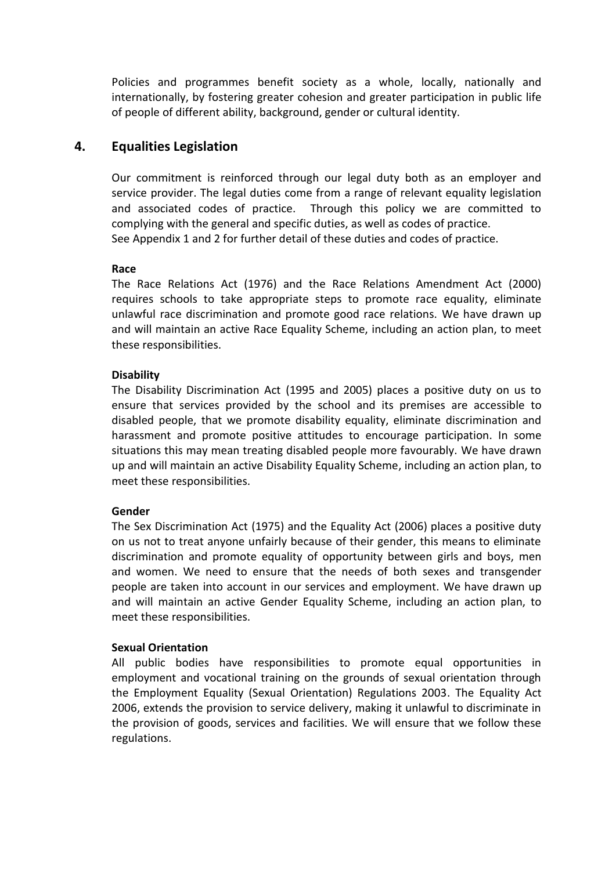Policies and programmes benefit society as a whole, locally, nationally and internationally, by fostering greater cohesion and greater participation in public life of people of different ability, background, gender or cultural identity.

## **4. Equalities Legislation**

Our commitment is reinforced through our legal duty both as an employer and service provider. The legal duties come from a range of relevant equality legislation and associated codes of practice. Through this policy we are committed to complying with the general and specific duties, as well as codes of practice. See Appendix 1 and 2 for further detail of these duties and codes of practice.

### **Race**

The Race Relations Act (1976) and the Race Relations Amendment Act (2000) requires schools to take appropriate steps to promote race equality, eliminate unlawful race discrimination and promote good race relations. We have drawn up and will maintain an active Race Equality Scheme, including an action plan, to meet these responsibilities.

### **Disability**

The Disability Discrimination Act (1995 and 2005) places a positive duty on us to ensure that services provided by the school and its premises are accessible to disabled people, that we promote disability equality, eliminate discrimination and harassment and promote positive attitudes to encourage participation. In some situations this may mean treating disabled people more favourably. We have drawn up and will maintain an active Disability Equality Scheme, including an action plan, to meet these responsibilities.

### **Gender**

The Sex Discrimination Act (1975) and the Equality Act (2006) places a positive duty on us not to treat anyone unfairly because of their gender, this means to eliminate discrimination and promote equality of opportunity between girls and boys, men and women. We need to ensure that the needs of both sexes and transgender people are taken into account in our services and employment. We have drawn up and will maintain an active Gender Equality Scheme, including an action plan, to meet these responsibilities.

### **Sexual Orientation**

All public bodies have responsibilities to promote equal opportunities in employment and vocational training on the grounds of sexual orientation through the Employment Equality (Sexual Orientation) Regulations 2003. The Equality Act 2006, extends the provision to service delivery, making it unlawful to discriminate in the provision of goods, services and facilities. We will ensure that we follow these regulations.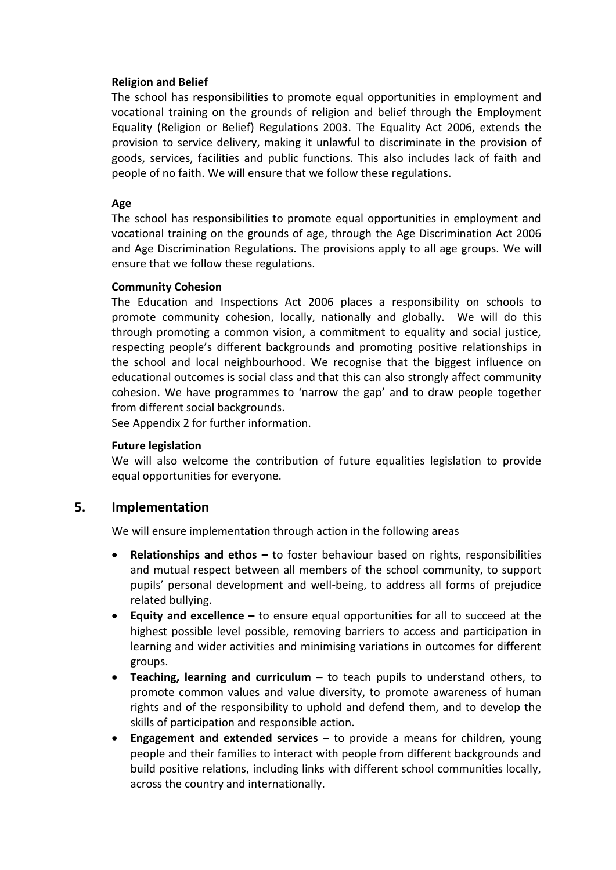## **Religion and Belief**

The school has responsibilities to promote equal opportunities in employment and vocational training on the grounds of religion and belief through the Employment Equality (Religion or Belief) Regulations 2003. The Equality Act 2006, extends the provision to service delivery, making it unlawful to discriminate in the provision of goods, services, facilities and public functions. This also includes lack of faith and people of no faith. We will ensure that we follow these regulations.

## **Age**

The school has responsibilities to promote equal opportunities in employment and vocational training on the grounds of age, through the Age Discrimination Act 2006 and Age Discrimination Regulations. The provisions apply to all age groups. We will ensure that we follow these regulations.

## **Community Cohesion**

The Education and Inspections Act 2006 places a responsibility on schools to promote community cohesion, locally, nationally and globally. We will do this through promoting a common vision, a commitment to equality and social justice, respecting people's different backgrounds and promoting positive relationships in the school and local neighbourhood. We recognise that the biggest influence on educational outcomes is social class and that this can also strongly affect community cohesion. We have programmes to 'narrow the gap' and to draw people together from different social backgrounds.

See Appendix 2 for further information.

### **Future legislation**

We will also welcome the contribution of future equalities legislation to provide equal opportunities for everyone.

## **5. Implementation**

We will ensure implementation through action in the following areas

- **Relationships and ethos –** to foster behaviour based on rights, responsibilities and mutual respect between all members of the school community, to support pupils' personal development and well-being, to address all forms of prejudice related bullying.
- **Equity and excellence –** to ensure equal opportunities for all to succeed at the highest possible level possible, removing barriers to access and participation in learning and wider activities and minimising variations in outcomes for different groups.
- **Teaching, learning and curriculum –** to teach pupils to understand others, to promote common values and value diversity, to promote awareness of human rights and of the responsibility to uphold and defend them, and to develop the skills of participation and responsible action.
- **Engagement and extended services –** to provide a means for children, young people and their families to interact with people from different backgrounds and build positive relations, including links with different school communities locally, across the country and internationally.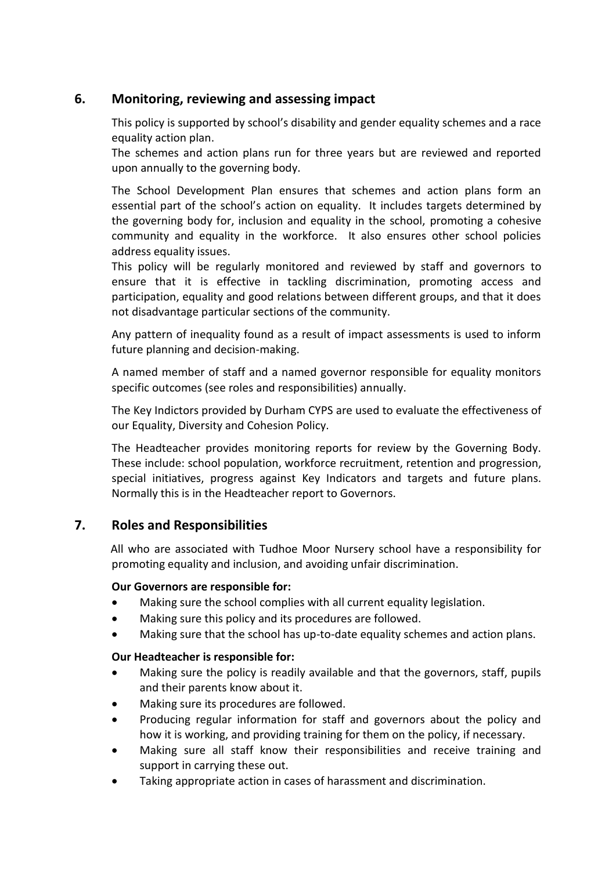## **6. Monitoring, reviewing and assessing impact**

This policy is supported by school's disability and gender equality schemes and a race equality action plan.

The schemes and action plans run for three years but are reviewed and reported upon annually to the governing body.

The School Development Plan ensures that schemes and action plans form an essential part of the school's action on equality. It includes targets determined by the governing body for, inclusion and equality in the school, promoting a cohesive community and equality in the workforce. It also ensures other school policies address equality issues.

This policy will be regularly monitored and reviewed by staff and governors to ensure that it is effective in tackling discrimination, promoting access and participation, equality and good relations between different groups, and that it does not disadvantage particular sections of the community.

Any pattern of inequality found as a result of impact assessments is used to inform future planning and decision-making.

A named member of staff and a named governor responsible for equality monitors specific outcomes (see roles and responsibilities) annually.

The Key Indictors provided by Durham CYPS are used to evaluate the effectiveness of our Equality, Diversity and Cohesion Policy.

The Headteacher provides monitoring reports for review by the Governing Body. These include: school population, workforce recruitment, retention and progression, special initiatives, progress against Key Indicators and targets and future plans. Normally this is in the Headteacher report to Governors.

## **7. Roles and Responsibilities**

 All who are associated with Tudhoe Moor Nursery school have a responsibility for promoting equality and inclusion, and avoiding unfair discrimination.

### **Our Governors are responsible for:**

- Making sure the school complies with all current equality legislation.
- Making sure this policy and its procedures are followed.
- Making sure that the school has up-to-date equality schemes and action plans.

### **Our Headteacher is responsible for:**

- Making sure the policy is readily available and that the governors, staff, pupils and their parents know about it.
- Making sure its procedures are followed.
- Producing regular information for staff and governors about the policy and how it is working, and providing training for them on the policy, if necessary.
- Making sure all staff know their responsibilities and receive training and support in carrying these out.
- Taking appropriate action in cases of harassment and discrimination.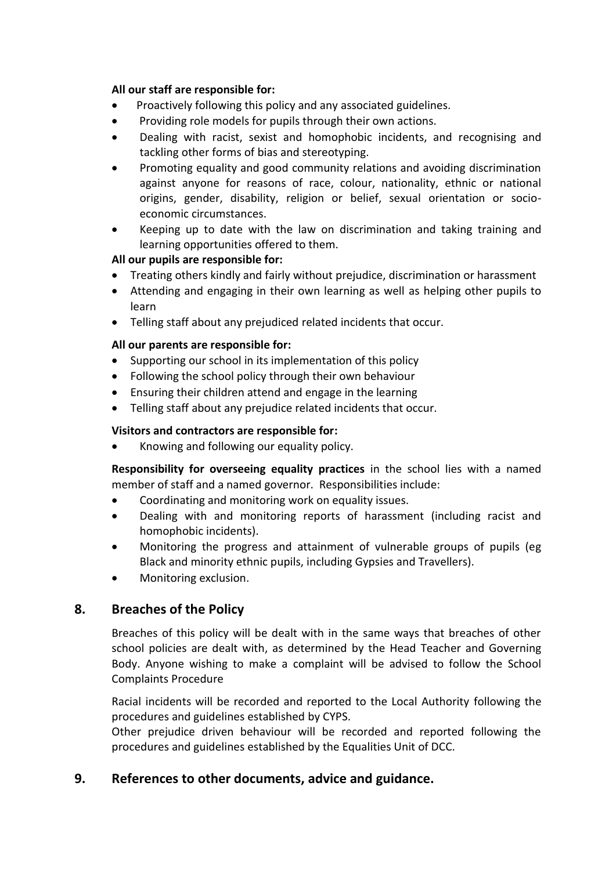## **All our staff are responsible for:**

- Proactively following this policy and any associated guidelines.
- Providing role models for pupils through their own actions.
- Dealing with racist, sexist and homophobic incidents, and recognising and tackling other forms of bias and stereotyping.
- Promoting equality and good community relations and avoiding discrimination against anyone for reasons of race, colour, nationality, ethnic or national origins, gender, disability, religion or belief, sexual orientation or socioeconomic circumstances.
- Keeping up to date with the law on discrimination and taking training and learning opportunities offered to them.

## **All our pupils are responsible for:**

- Treating others kindly and fairly without prejudice, discrimination or harassment
- Attending and engaging in their own learning as well as helping other pupils to learn
- Telling staff about any prejudiced related incidents that occur.

## **All our parents are responsible for:**

- Supporting our school in its implementation of this policy
- Following the school policy through their own behaviour
- Ensuring their children attend and engage in the learning
- Telling staff about any prejudice related incidents that occur.

## **Visitors and contractors are responsible for:**

• Knowing and following our equality policy.

**Responsibility for overseeing equality practices** in the school lies with a named member of staff and a named governor. Responsibilities include:

- Coordinating and monitoring work on equality issues.
- Dealing with and monitoring reports of harassment (including racist and homophobic incidents).
- Monitoring the progress and attainment of vulnerable groups of pupils (eg Black and minority ethnic pupils, including Gypsies and Travellers).
- Monitoring exclusion.

## **8. Breaches of the Policy**

Breaches of this policy will be dealt with in the same ways that breaches of other school policies are dealt with, as determined by the Head Teacher and Governing Body. Anyone wishing to make a complaint will be advised to follow the School Complaints Procedure

Racial incidents will be recorded and reported to the Local Authority following the procedures and guidelines established by CYPS.

Other prejudice driven behaviour will be recorded and reported following the procedures and guidelines established by the Equalities Unit of DCC.

## **9. References to other documents, advice and guidance.**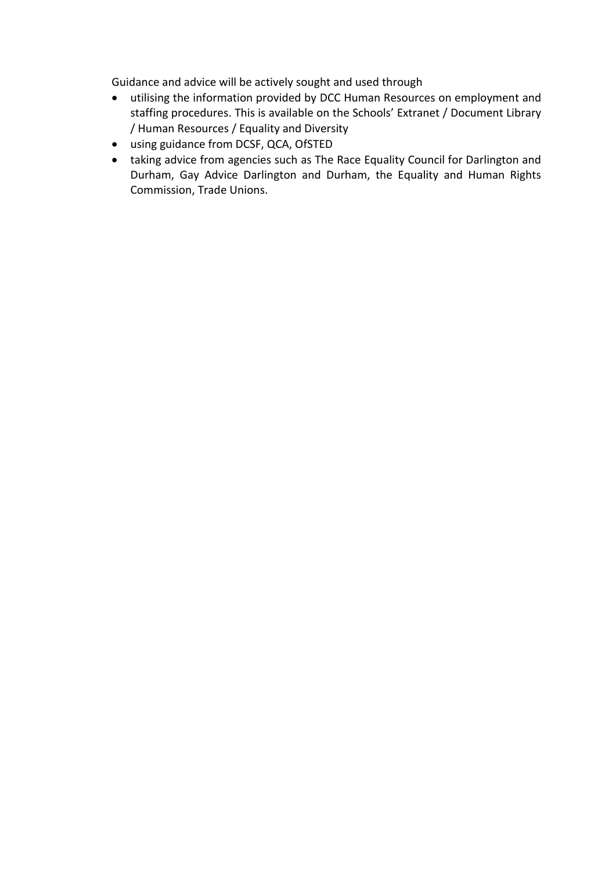Guidance and advice will be actively sought and used through

- utilising the information provided by DCC Human Resources on employment and staffing procedures. This is available on the Schools' Extranet / Document Library / Human Resources / Equality and Diversity
- using guidance from DCSF, QCA, OfSTED
- taking advice from agencies such as The Race Equality Council for Darlington and Durham, Gay Advice Darlington and Durham, the Equality and Human Rights Commission, Trade Unions.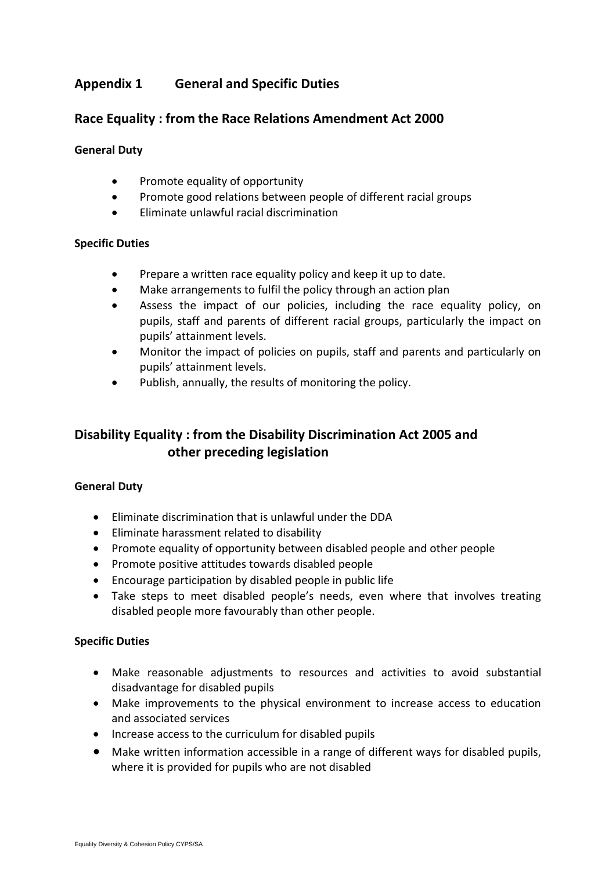## **Appendix 1 General and Specific Duties**

## **Race Equality : from the Race Relations Amendment Act 2000**

#### **General Duty**

- Promote equality of opportunity
- Promote good relations between people of different racial groups
- Eliminate unlawful racial discrimination

#### **Specific Duties**

- Prepare a written race equality policy and keep it up to date.
- Make arrangements to fulfil the policy through an action plan
- Assess the impact of our policies, including the race equality policy, on pupils, staff and parents of different racial groups, particularly the impact on pupils' attainment levels.
- Monitor the impact of policies on pupils, staff and parents and particularly on pupils' attainment levels.
- Publish, annually, the results of monitoring the policy.

## **Disability Equality : from the Disability Discrimination Act 2005 and other preceding legislation**

### **General Duty**

- Eliminate discrimination that is unlawful under the DDA
- Eliminate harassment related to disability
- Promote equality of opportunity between disabled people and other people
- Promote positive attitudes towards disabled people
- Encourage participation by disabled people in public life
- Take steps to meet disabled people's needs, even where that involves treating disabled people more favourably than other people.

### **Specific Duties**

- Make reasonable adjustments to resources and activities to avoid substantial disadvantage for disabled pupils
- Make improvements to the physical environment to increase access to education and associated services
- Increase access to the curriculum for disabled pupils
- Make written information accessible in a range of different ways for disabled pupils, where it is provided for pupils who are not disabled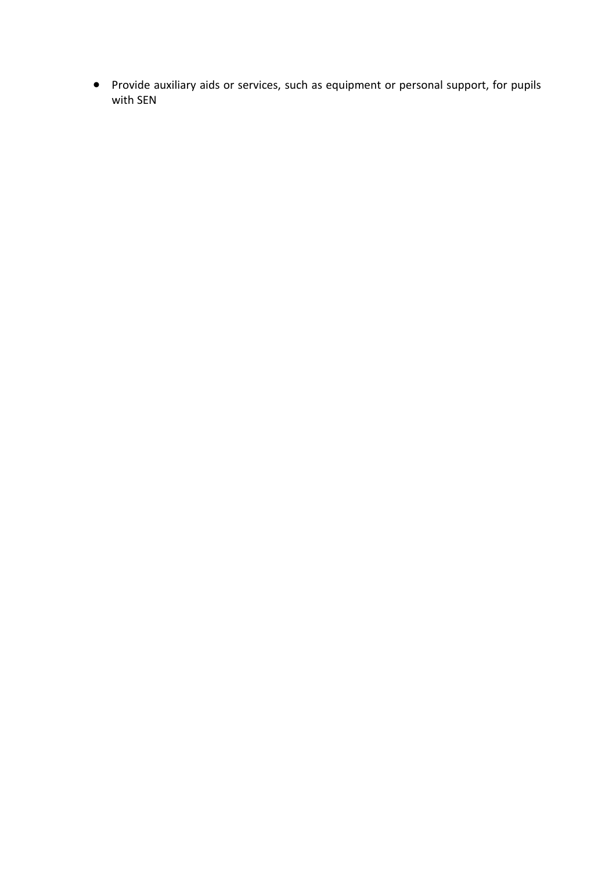Provide auxiliary aids or services, such as equipment or personal support, for pupils with SEN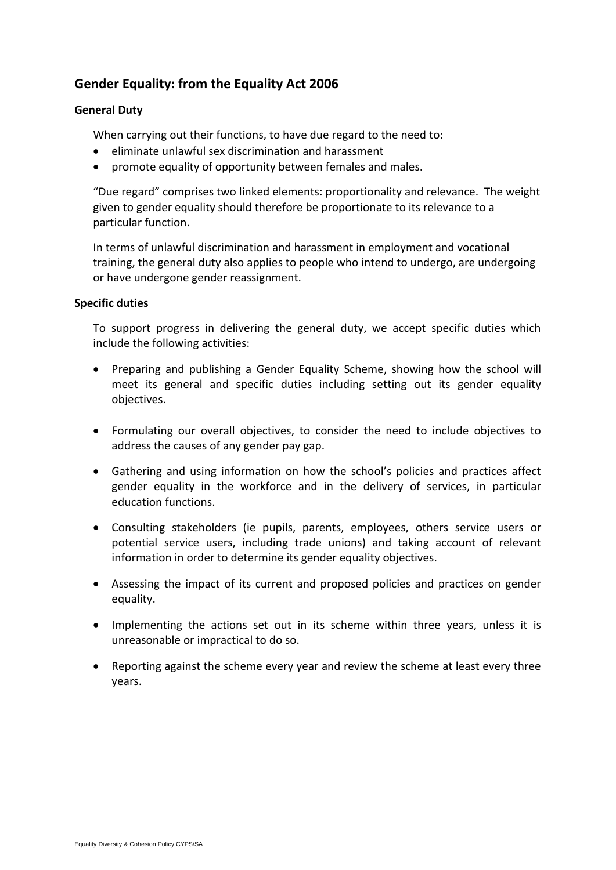## **Gender Equality: from the Equality Act 2006**

### **General Duty**

When carrying out their functions, to have due regard to the need to:

- eliminate unlawful sex discrimination and harassment
- promote equality of opportunity between females and males.

"Due regard" comprises two linked elements: proportionality and relevance. The weight given to gender equality should therefore be proportionate to its relevance to a particular function.

In terms of unlawful discrimination and harassment in employment and vocational training, the general duty also applies to people who intend to undergo, are undergoing or have undergone gender reassignment.

### **Specific duties**

To support progress in delivering the general duty, we accept specific duties which include the following activities:

- Preparing and publishing a Gender Equality Scheme, showing how the school will meet its general and specific duties including setting out its gender equality objectives.
- Formulating our overall objectives, to consider the need to include objectives to address the causes of any gender pay gap.
- Gathering and using information on how the school's policies and practices affect gender equality in the workforce and in the delivery of services, in particular education functions.
- Consulting stakeholders (ie pupils, parents, employees, others service users or potential service users, including trade unions) and taking account of relevant information in order to determine its gender equality objectives.
- Assessing the impact of its current and proposed policies and practices on gender equality.
- Implementing the actions set out in its scheme within three years, unless it is unreasonable or impractical to do so.
- Reporting against the scheme every year and review the scheme at least every three years.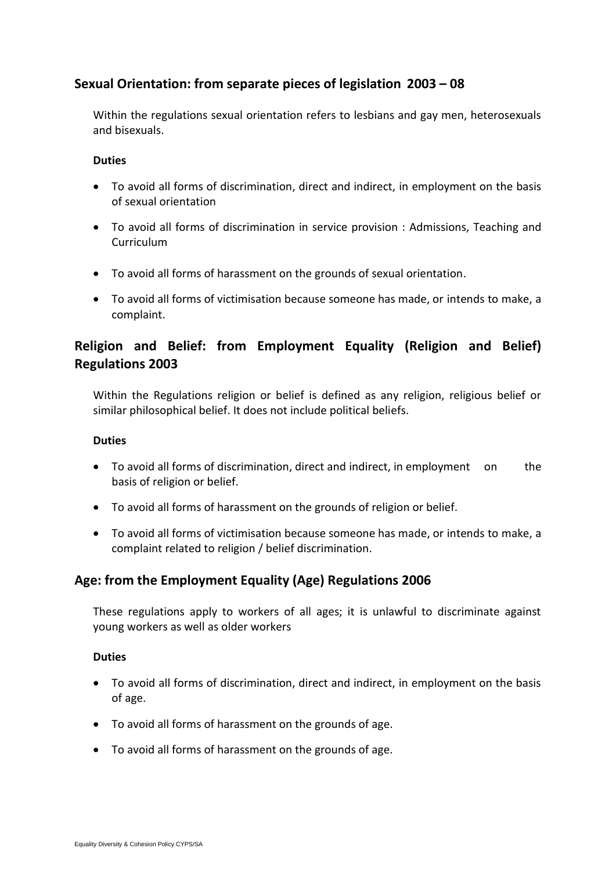## **Sexual Orientation: from separate pieces of legislation 2003 – 08**

Within the regulations sexual orientation refers to lesbians and gay men, heterosexuals and bisexuals.

#### **Duties**

- To avoid all forms of discrimination, direct and indirect, in employment on the basis of sexual orientation
- To avoid all forms of discrimination in service provision : Admissions, Teaching and Curriculum
- To avoid all forms of harassment on the grounds of sexual orientation.
- To avoid all forms of victimisation because someone has made, or intends to make, a complaint.

## **Religion and Belief: from Employment Equality (Religion and Belief) Regulations 2003**

Within the Regulations religion or belief is defined as any religion, religious belief or similar philosophical belief. It does not include political beliefs.

#### **Duties**

- To avoid all forms of discrimination, direct and indirect, in employment on the basis of religion or belief.
- To avoid all forms of harassment on the grounds of religion or belief.
- To avoid all forms of victimisation because someone has made, or intends to make, a complaint related to religion / belief discrimination.

## **Age: from the Employment Equality (Age) Regulations 2006**

These regulations apply to workers of all ages; it is unlawful to discriminate against young workers as well as older workers

### **Duties**

- To avoid all forms of discrimination, direct and indirect, in employment on the basis of age.
- To avoid all forms of harassment on the grounds of age.
- To avoid all forms of harassment on the grounds of age.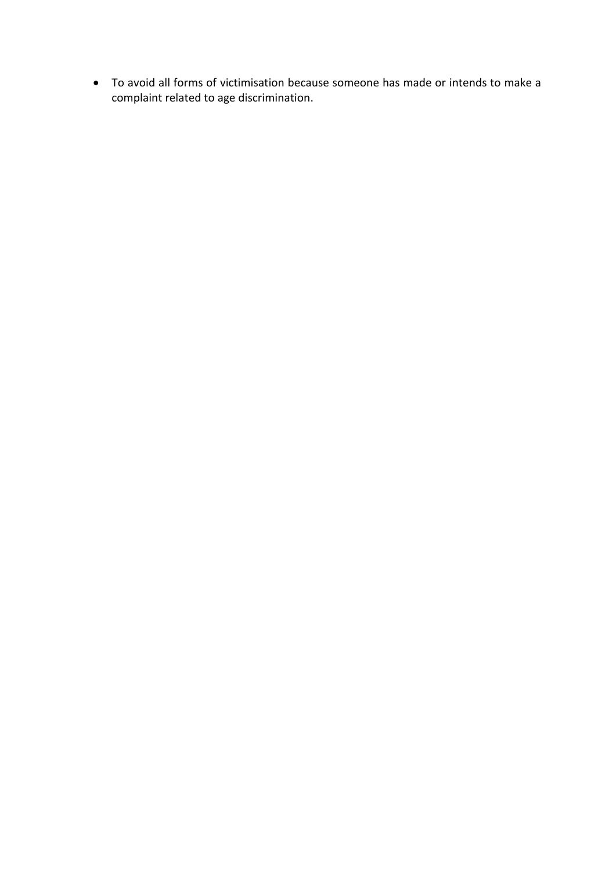To avoid all forms of victimisation because someone has made or intends to make a complaint related to age discrimination.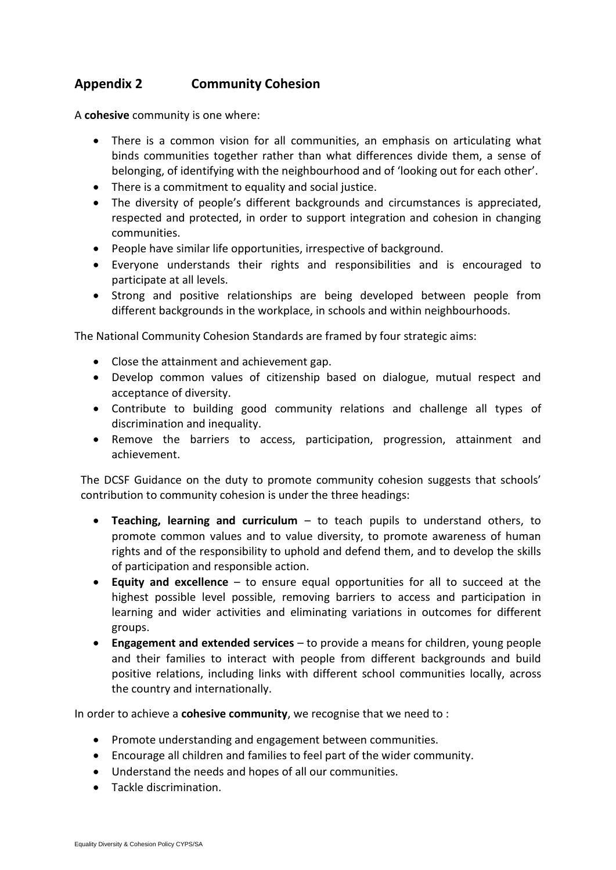## **Appendix 2 Community Cohesion**

A **cohesive** community is one where:

- There is a common vision for all communities, an emphasis on articulating what binds communities together rather than what differences divide them, a sense of belonging, of identifying with the neighbourhood and of 'looking out for each other'.
- There is a commitment to equality and social justice.
- The diversity of people's different backgrounds and circumstances is appreciated, respected and protected, in order to support integration and cohesion in changing communities.
- People have similar life opportunities, irrespective of background.
- Everyone understands their rights and responsibilities and is encouraged to participate at all levels.
- Strong and positive relationships are being developed between people from different backgrounds in the workplace, in schools and within neighbourhoods.

The National Community Cohesion Standards are framed by four strategic aims:

- Close the attainment and achievement gap.
- Develop common values of citizenship based on dialogue, mutual respect and acceptance of diversity.
- Contribute to building good community relations and challenge all types of discrimination and inequality.
- Remove the barriers to access, participation, progression, attainment and achievement.

The DCSF Guidance on the duty to promote community cohesion suggests that schools' contribution to community cohesion is under the three headings:

- **Teaching, learning and curriculum** to teach pupils to understand others, to promote common values and to value diversity, to promote awareness of human rights and of the responsibility to uphold and defend them, and to develop the skills of participation and responsible action.
- **Equity and excellence** to ensure equal opportunities for all to succeed at the highest possible level possible, removing barriers to access and participation in learning and wider activities and eliminating variations in outcomes for different groups.
- **Engagement and extended services** to provide a means for children, young people and their families to interact with people from different backgrounds and build positive relations, including links with different school communities locally, across the country and internationally.

In order to achieve a **cohesive community**, we recognise that we need to :

- Promote understanding and engagement between communities.
- Encourage all children and families to feel part of the wider community.
- Understand the needs and hopes of all our communities.
- Tackle discrimination.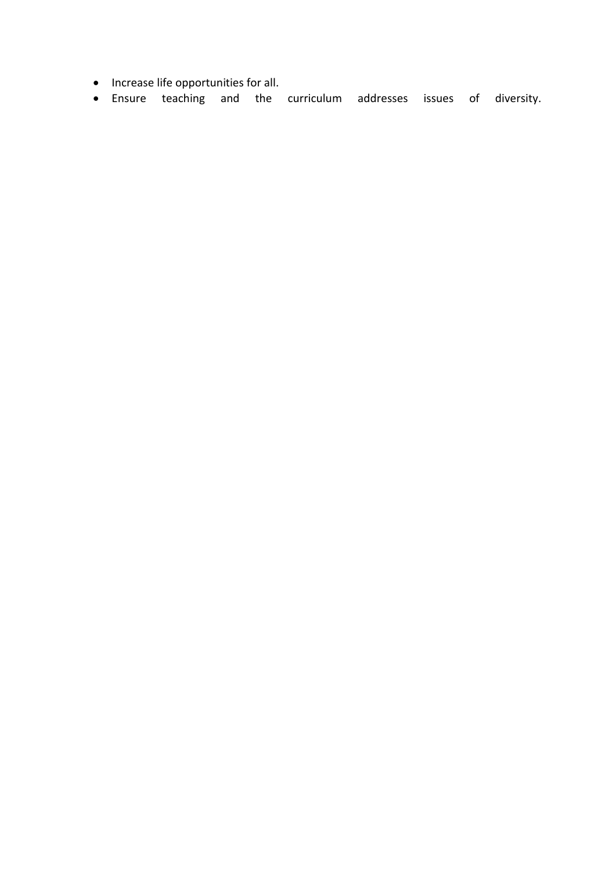- Increase life opportunities for all.
- Ensure teaching and the curriculum addresses issues of diversity.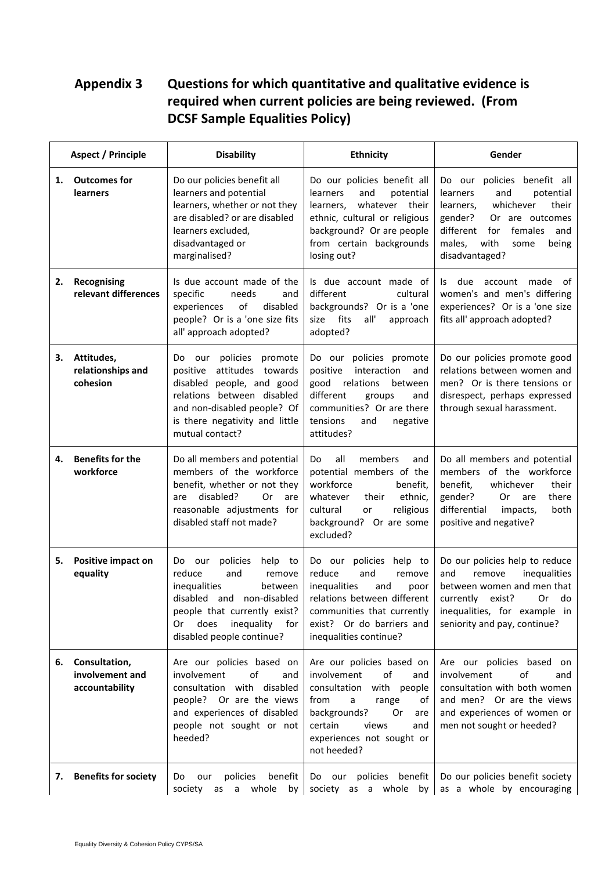# **Appendix 3 Questions for which quantitative and qualitative evidence is required when current policies are being reviewed. (From DCSF Sample Equalities Policy)**

|    | <b>Aspect / Principle</b>                          | <b>Disability</b>                                                                                                                                                                                                    | <b>Ethnicity</b>                                                                                                                                                                                                     | Gender                                                                                                                                                                                                                  |
|----|----------------------------------------------------|----------------------------------------------------------------------------------------------------------------------------------------------------------------------------------------------------------------------|----------------------------------------------------------------------------------------------------------------------------------------------------------------------------------------------------------------------|-------------------------------------------------------------------------------------------------------------------------------------------------------------------------------------------------------------------------|
| 1. | <b>Outcomes for</b><br><b>learners</b>             | Do our policies benefit all<br>learners and potential<br>learners, whether or not they<br>are disabled? or are disabled<br>learners excluded,<br>disadvantaged or<br>marginalised?                                   | Do our policies benefit all<br>and<br>potential<br>learners<br>whatever their<br>learners.<br>ethnic, cultural or religious<br>background? Or are people<br>from certain backgrounds<br>losing out?                  | Do our policies benefit all<br>and<br>potential<br>learners<br>whichever<br>their<br>learners,<br>gender?<br>Or are outcomes<br>different<br>females<br>for<br>and<br>males,<br>with<br>being<br>some<br>disadvantaged? |
| 2. | Recognising<br>relevant differences                | Is due account made of the<br>specific<br>needs<br>and<br>of<br>disabled<br>experiences<br>people? Or is a 'one size fits<br>all' approach adopted?                                                                  | Is due account made of<br>different<br>cultural<br>backgrounds? Or is a 'one<br>fits<br>all'<br>size<br>approach<br>adopted?                                                                                         | due<br>account made<br>ls.<br>0f<br>women's and men's differing<br>experiences? Or is a 'one size<br>fits all' approach adopted?                                                                                        |
| З. | Attitudes,<br>relationships and<br>cohesion        | policies<br>our<br>promote<br>Do.<br>attitudes<br>positive<br>towards<br>disabled people, and good<br>relations between disabled<br>and non-disabled people? Of<br>is there negativity and little<br>mutual contact? | Do our policies promote<br>positive<br>interaction<br>and<br>good<br>relations<br>between<br>different<br>groups<br>and<br>communities? Or are there<br>tensions<br>and<br>negative<br>attitudes?                    | Do our policies promote good<br>relations between women and<br>men? Or is there tensions or<br>disrespect, perhaps expressed<br>through sexual harassment.                                                              |
| 4. | <b>Benefits for the</b><br>workforce               | Do all members and potential<br>members of the workforce<br>benefit, whether or not they<br>disabled?<br>0r<br>are<br>are<br>reasonable adjustments for<br>disabled staff not made?                                  | members<br>all<br>Do<br>and<br>potential members of the<br>workforce<br>benefit,<br>whatever<br>ethnic,<br>their<br>cultural<br>religious<br>or<br>background? Or are some<br>excluded?                              | Do all members and potential<br>members of the workforce<br>benefit,<br>whichever<br>their<br>gender?<br>0r<br>there<br>are<br>differential<br>both<br>impacts,<br>positive and negative?                               |
| 5. | Positive impact on<br>equality                     | policies<br>help to<br>Do our<br>reduce<br>and<br>remove<br>inequalities<br>between<br>disabled<br>non-disabled<br>and<br>people that currently exist?<br>does<br>inequality for<br>0r<br>disabled people continue?  | Do our policies help to<br>reduce<br>and<br>remove<br>inequalities<br>and<br>poor<br>relations between different<br>communities that currently<br>exist? Or do barriers and<br>inequalities continue?                | Do our policies help to reduce<br>inequalities<br>and<br>remove<br>between women and men that<br>currently<br>exist?<br>0r<br>do<br>inequalities, for example in<br>seniority and pay, continue?                        |
| 6. | Consultation,<br>involvement and<br>accountability | Are our policies based on<br>involvement<br>of<br>and<br>consultation with disabled<br>Or are the views<br>people?<br>and experiences of disabled<br>people not sought or not<br>heeded?                             | Are our policies based on<br>involvement<br>of<br>and<br>with people<br>consultation<br>from<br>range<br>a<br>оt<br>backgrounds?<br>0r<br>are<br>certain<br>views<br>and<br>experiences not sought or<br>not heeded? | Are our policies based on<br>involvement<br>οf<br>and<br>consultation with both women<br>and men? Or are the views<br>and experiences of women or<br>men not sought or heeded?                                          |
| 7. | <b>Benefits for society</b>                        | policies<br>benefit<br>Do<br>our<br>society<br>whole<br>by  <br>as<br>a                                                                                                                                              | policies benefit<br>Do our<br>society as a whole by                                                                                                                                                                  | Do our policies benefit society<br>as a whole by encouraging                                                                                                                                                            |